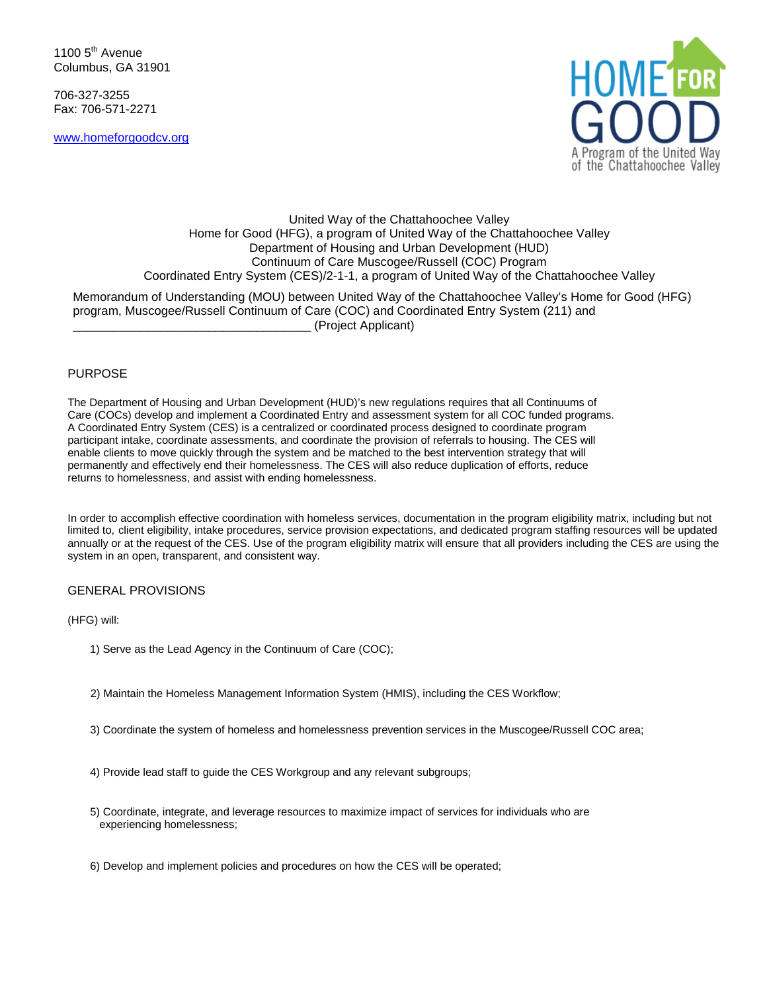1100  $5<sup>th</sup>$  Avenue Columbus, GA 31901

706-327-3255 Fax: 706-571-2271

[www.homeforgoodcv.org](http://www.homeforgoodcv.org/)



# United Way of the Chattahoochee Valley Home for Good (HFG), a program of United Way of the Chattahoochee Valley Department of Housing and Urban Development (HUD) Continuum of Care Muscogee/Russell (COC) Program Coordinated Entry System (CES)/2-1-1, a program of United Way of the Chattahoochee Valley Memorandum of Understanding (MOU) between United Way of the Chattahoochee Valley's Home for Good (HFG)

program, Muscogee/Russell Continuum of Care (COC) and Coordinated Entry System (211) and \_\_\_\_\_\_\_\_\_\_\_\_\_\_\_\_\_\_\_\_\_\_\_\_\_\_\_\_\_\_\_\_\_\_\_ (Project Applicant)

## PURPOSE

The Department of Housing and Urban Development (HUD)'s new regulations requires that all Continuums of Care (COCs) develop and implement a Coordinated Entry and assessment system for all COC funded programs. A Coordinated Entry System (CES) is a centralized or coordinated process designed to coordinate program participant intake, coordinate assessments, and coordinate the provision of referrals to housing. The CES will enable clients to move quickly through the system and be matched to the best intervention strategy that will permanently and effectively end their homelessness. The CES will also reduce duplication of efforts, reduce returns to homelessness, and assist with ending homelessness.

In order to accomplish effective coordination with homeless services, documentation in the program eligibility matrix, including but not limited to, client eligibility, intake procedures, service provision expectations, and dedicated program staffing resources will be updated annually or at the request of the CES. Use of the program eligibility matrix will ensure that all providers including the CES are using the system in an open, transparent, and consistent way.

### GENERAL PROVISIONS

#### (HFG) will:

- 1) Serve as the Lead Agency in the Continuum of Care (COC);
- 2) Maintain the Homeless Management Information System (HMIS), including the CES Workflow;
- 3) Coordinate the system of homeless and homelessness prevention services in the Muscogee/Russell COC area;
- 4) Provide lead staff to guide the CES Workgroup and any relevant subgroups;
- 5) Coordinate, integrate, and leverage resources to maximize impact of services for individuals who are experiencing homelessness;
- 6) Develop and implement policies and procedures on how the CES will be operated;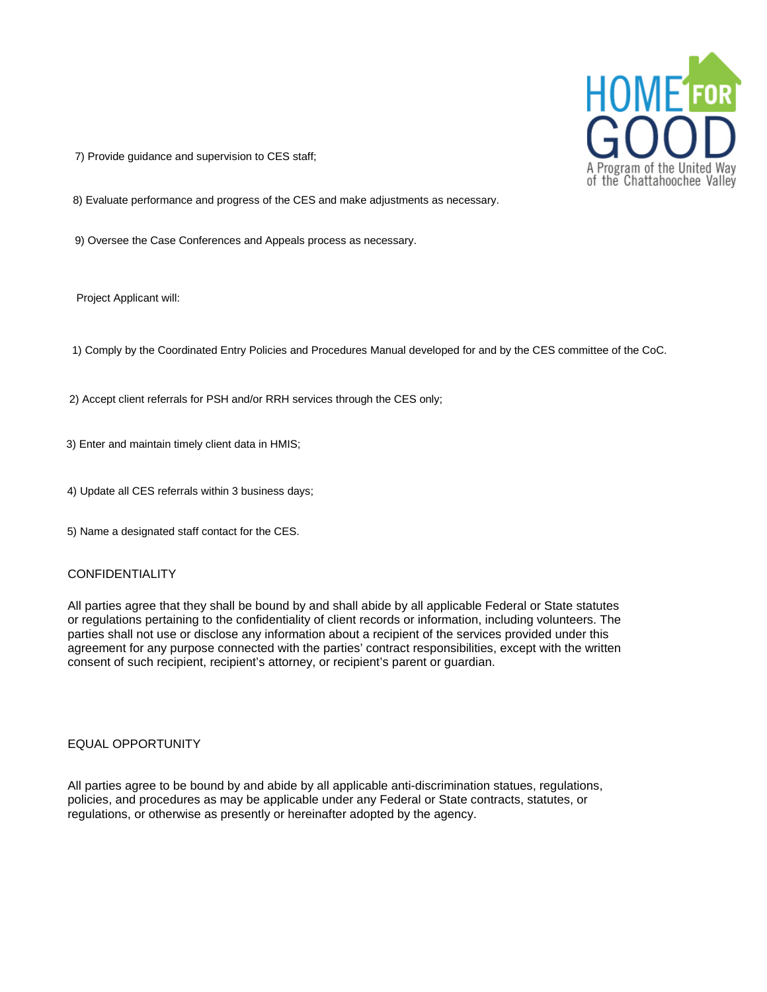

7) Provide guidance and supervision to CES staff;

8) Evaluate performance and progress of the CES and make adjustments as necessary.

9) Oversee the Case Conferences and Appeals process as necessary.

Project Applicant will:

1) Comply by the Coordinated Entry Policies and Procedures Manual developed for and by the CES committee of the CoC.

2) Accept client referrals for PSH and/or RRH services through the CES only;

3) Enter and maintain timely client data in HMIS;

- 4) Update all CES referrals within 3 business days;
- 5) Name a designated staff contact for the CES.

#### CONFIDENTIALITY

All parties agree that they shall be bound by and shall abide by all applicable Federal or State statutes or regulations pertaining to the confidentiality of client records or information, including volunteers. The parties shall not use or disclose any information about a recipient of the services provided under this agreement for any purpose connected with the parties' contract responsibilities, except with the written consent of such recipient, recipient's attorney, or recipient's parent or guardian.

#### EQUAL OPPORTUNITY

All parties agree to be bound by and abide by all applicable anti-discrimination statues, regulations, policies, and procedures as may be applicable under any Federal or State contracts, statutes, or regulations, or otherwise as presently or hereinafter adopted by the agency.